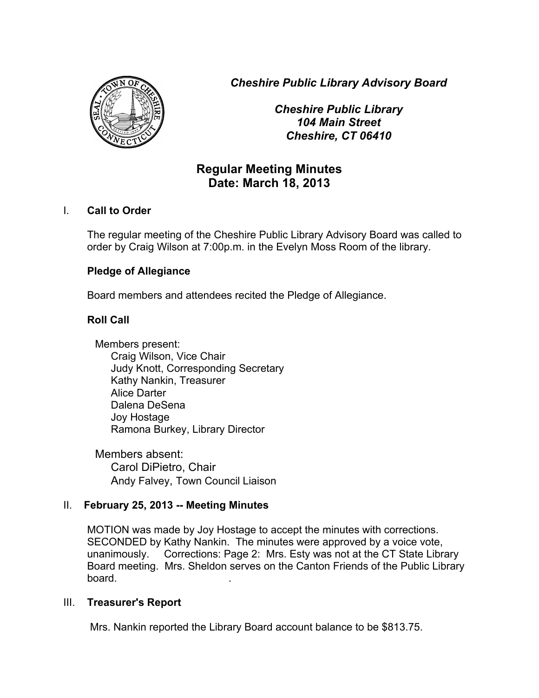*Cheshire Public Library Advisory Board*



*Cheshire Public Library 104 Main Street Cheshire, CT 06410*

# **Regular Meeting Minutes Date: March 18, 2013**

#### I. **Call to Order**

The regular meeting of the Cheshire Public Library Advisory Board was called to order by Craig Wilson at 7:00p.m. in the Evelyn Moss Room of the library.

# **Pledge of Allegiance**

Board members and attendees recited the Pledge of Allegiance.

# **Roll Call**

Members present: Craig Wilson, Vice Chair Judy Knott, Corresponding Secretary Kathy Nankin, Treasurer Alice Darter Dalena DeSena Joy Hostage Ramona Burkey, Library Director

Members absent: Carol DiPietro, Chair Andy Falvey, Town Council Liaison

#### II. **February 25, 2013 -- Meeting Minutes**

MOTION was made by Joy Hostage to accept the minutes with corrections. SECONDED by Kathy Nankin. The minutes were approved by a voice vote, unanimously. Corrections: Page 2: Mrs. Esty was not at the CT State Library Board meeting. Mrs. Sheldon serves on the Canton Friends of the Public Library board. .

#### III. **Treasurer's Report**

Mrs. Nankin reported the Library Board account balance to be \$813.75.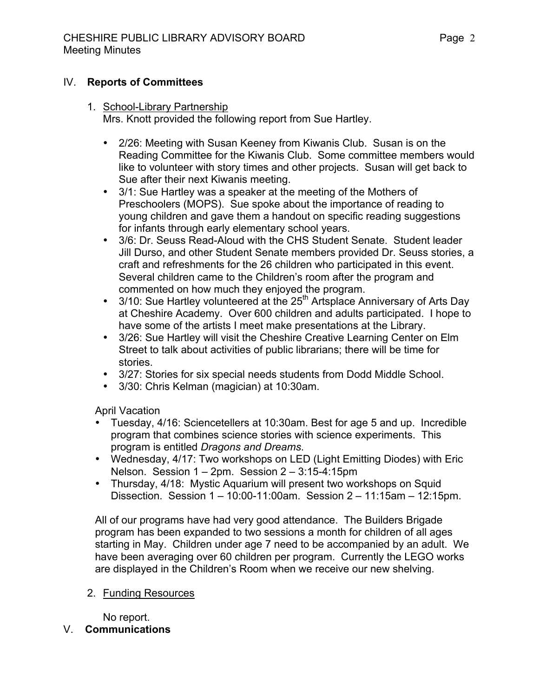#### IV. **Reports of Committees**

- 1. School-Library Partnership Mrs. Knott provided the following report from Sue Hartley.
	- 2/26: Meeting with Susan Keeney from Kiwanis Club. Susan is on the Reading Committee for the Kiwanis Club. Some committee members would like to volunteer with story times and other projects. Susan will get back to Sue after their next Kiwanis meeting.
	- 3/1: Sue Hartley was a speaker at the meeting of the Mothers of Preschoolers (MOPS). Sue spoke about the importance of reading to young children and gave them a handout on specific reading suggestions for infants through early elementary school years.
	- 3/6: Dr. Seuss Read-Aloud with the CHS Student Senate. Student leader Jill Durso, and other Student Senate members provided Dr. Seuss stories, a craft and refreshments for the 26 children who participated in this event. Several children came to the Children's room after the program and commented on how much they enjoyed the program.
	- $3/10$ : Sue Hartley volunteered at the 25<sup>th</sup> Artsplace Anniversary of Arts Day at Cheshire Academy. Over 600 children and adults participated. I hope to have some of the artists I meet make presentations at the Library.
	- 3/26: Sue Hartley will visit the Cheshire Creative Learning Center on Elm Street to talk about activities of public librarians; there will be time for stories.
	- 3/27: Stories for six special needs students from Dodd Middle School.<br>• 3/30: Chris Kelman (magician) at 10:30am
	- 3/30: Chris Kelman (magician) at 10:30am.

April Vacation

- Tuesday, 4/16: Sciencetellers at 10:30am. Best for age 5 and up. Incredible program that combines science stories with science experiments. This program is entitled *Dragons and Dreams*.
- Wednesday, 4/17: Two workshops on LED (Light Emitting Diodes) with Eric Nelson. Session 1 – 2pm. Session 2 – 3:15-4:15pm
- Thursday, 4/18: Mystic Aquarium will present two workshops on Squid Dissection. Session 1 – 10:00-11:00am. Session 2 – 11:15am – 12:15pm.

All of our programs have had very good attendance. The Builders Brigade program has been expanded to two sessions a month for children of all ages starting in May. Children under age 7 need to be accompanied by an adult. We have been averaging over 60 children per program. Currently the LEGO works are displayed in the Children's Room when we receive our new shelving.

2. Funding Resources

No report.

# V. **Communications**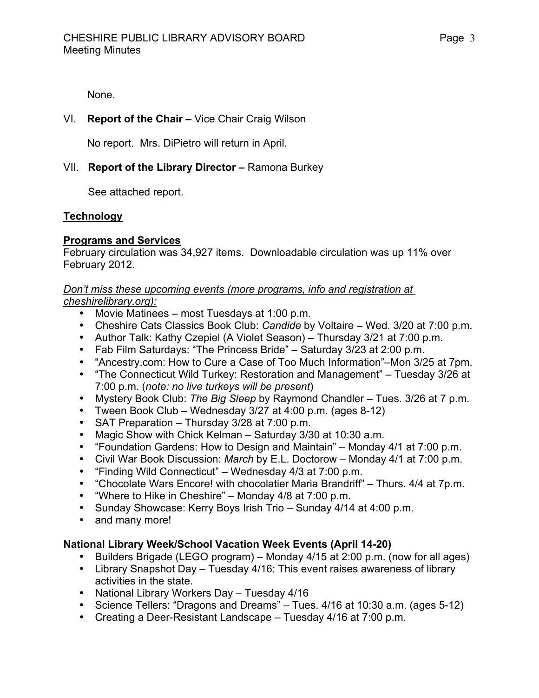None.

# VI. **Report of the Chair –** Vice Chair Craig Wilson

No report. Mrs. DiPietro will return in April.

# VII. **Report of the Library Director –** Ramona Burkey

See attached report.

# **Technology**

#### **Programs and Services**

February circulation was 34,927 items. Downloadable circulation was up 11% over February 2012.

#### *Don't miss these upcoming events (more programs, info and registration at cheshirelibrary.org):*

- Movie Matinees most Tuesdays at 1:00 p.m.
- Cheshire Cats Classics Book Club: *Candide* by Voltaire Wed. 3/20 at 7:00 p.m.
- Author Talk: Kathy Czepiel (A Violet Season) Thursday 3/21 at 7:00 p.m.
- Fab Film Saturdays: "The Princess Bride" Saturday 3/23 at 2:00 p.m.
- "Ancestry.com: How to Cure a Case of Too Much Information"–Mon 3/25 at 7pm.
- "The Connecticut Wild Turkey: Restoration and Management" Tuesday 3/26 at 7:00 p.m. (*note: no live turkeys will be present*)
- Mystery Book Club: *The Big Sleep* by Raymond Chandler Tues. 3/26 at 7 p.m.
- Tween Book Club Wednesday 3/27 at 4:00 p.m. (ages 8-12)
- SAT Preparation Thursday 3/28 at 7:00 p.m.
- Magic Show with Chick Kelman Saturday 3/30 at 10:30 a.m.
- "Foundation Gardens: How to Design and Maintain" Monday 4/1 at 7:00 p.m.
- Civil War Book Discussion: *March* by E.L. Doctorow Monday 4/1 at 7:00 p.m.
- "Finding Wild Connecticut" Wednesday 4/3 at 7:00 p.m.
- "Chocolate Wars Encore! with chocolatier Maria Brandriff" Thurs. 4/4 at 7p.m.
- "Where to Hike in Cheshire" Monday 4/8 at 7:00 p.m.
- Sunday Showcase: Kerry Boys Irish Trio Sunday 4/14 at 4:00 p.m.
- and many more!

# **National Library Week/School Vacation Week Events (April 14-20)**

- Builders Brigade (LEGO program) Monday 4/15 at 2:00 p.m. (now for all ages)
- Library Snapshot Day Tuesday 4/16: This event raises awareness of library activities in the state.
- National Library Workers Day Tuesday 4/16
- Science Tellers: "Dragons and Dreams" Tues. 4/16 at 10:30 a.m. (ages 5-12)
- Creating a Deer-Resistant Landscape Tuesday 4/16 at 7:00 p.m.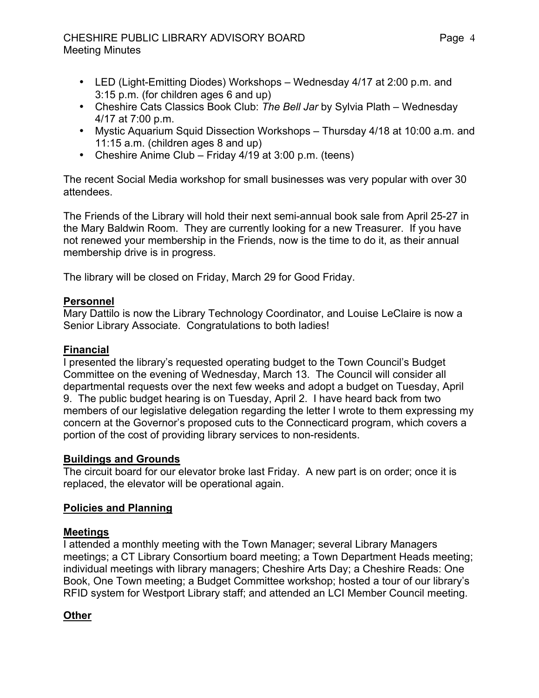# CHESHIRE PUBLIC LIBRARY ADVISORY BOARD Meeting Minutes

- LED (Light-Emitting Diodes) Workshops Wednesday 4/17 at 2:00 p.m. and 3:15 p.m. (for children ages 6 and up)
- Cheshire Cats Classics Book Club: *The Bell Jar* by Sylvia Plath Wednesday 4/17 at 7:00 p.m.
- Mystic Aquarium Squid Dissection Workshops Thursday 4/18 at 10:00 a.m. and 11:15 a.m. (children ages 8 and up)
- Cheshire Anime Club Friday 4/19 at 3:00 p.m. (teens)

The recent Social Media workshop for small businesses was very popular with over 30 attendees.

The Friends of the Library will hold their next semi-annual book sale from April 25-27 in the Mary Baldwin Room. They are currently looking for a new Treasurer. If you have not renewed your membership in the Friends, now is the time to do it, as their annual membership drive is in progress.

The library will be closed on Friday, March 29 for Good Friday.

#### **Personnel**

Mary Dattilo is now the Library Technology Coordinator, and Louise LeClaire is now a Senior Library Associate. Congratulations to both ladies!

#### **Financial**

I presented the library's requested operating budget to the Town Council's Budget Committee on the evening of Wednesday, March 13. The Council will consider all departmental requests over the next few weeks and adopt a budget on Tuesday, April 9. The public budget hearing is on Tuesday, April 2. I have heard back from two members of our legislative delegation regarding the letter I wrote to them expressing my concern at the Governor's proposed cuts to the Connecticard program, which covers a portion of the cost of providing library services to non-residents.

# **Buildings and Grounds**

The circuit board for our elevator broke last Friday. A new part is on order; once it is replaced, the elevator will be operational again.

# **Policies and Planning**

# **Meetings**

I attended a monthly meeting with the Town Manager; several Library Managers meetings; a CT Library Consortium board meeting; a Town Department Heads meeting; individual meetings with library managers; Cheshire Arts Day; a Cheshire Reads: One Book, One Town meeting; a Budget Committee workshop; hosted a tour of our library's RFID system for Westport Library staff; and attended an LCI Member Council meeting.

# **Other**